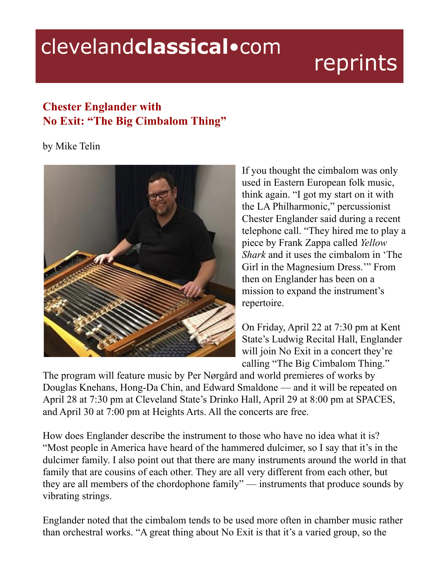## clevelandclassical.com

## reprints

## **Chester Englander with No Exit: "The Big Cimbalom Thing"**

by Mike Telin



If you thought the cimbalom was only used in Eastern European folk music, think again. "I got my start on it with the LA Philharmonic," percussionist Chester Englander said during a recent telephone call. "They hired me to play a piece by Frank Zappa called *Yellow Shark* and it uses the cimbalom in 'The Girl in the Magnesium Dress.'" From then on Englander has been on a mission to expand the instrument's repertoire.

On Friday, April 22 at 7:30 pm at Kent State's Ludwig Recital Hall, Englander will join No Exit in a concert they're calling "The Big Cimbalom Thing."

The program will feature music by Per Nørgård and world premieres of works by Douglas Knehans, Hong-Da Chin, and Edward Smaldone — and it will be repeated on April 28 at 7:30 pm at Cleveland State's Drinko Hall, April 29 at 8:00 pm at SPACES, and April 30 at 7:00 pm at Heights Arts. All the concerts are free.

How does Englander describe the instrument to those who have no idea what it is? "Most people in America have heard of the hammered dulcimer, so I say that it's in the dulcimer family. I also point out that there are many instruments around the world in that family that are cousins of each other. They are all very different from each other, but they are all members of the chordophone family" — instruments that produce sounds by vibrating strings.

Englander noted that the cimbalom tends to be used more often in chamber music rather than orchestral works. "A great thing about No Exit is that it's a varied group, so the